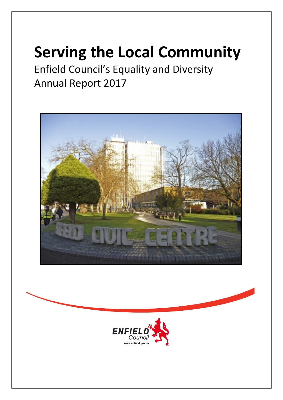# **Serving the Local Community**

Enfield Council's Equality and Diversity Annual Report 2017



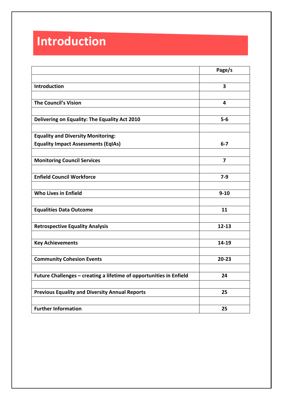## **Introduction**

|                                                                     | Page/s    |
|---------------------------------------------------------------------|-----------|
|                                                                     |           |
| <b>Introduction</b>                                                 | 3         |
|                                                                     |           |
| <b>The Council's Vision</b>                                         | 4         |
|                                                                     |           |
| Delivering on Equality: The Equality Act 2010                       | $5-6$     |
|                                                                     |           |
| <b>Equality and Diversity Monitoring:</b>                           |           |
| <b>Equality Impact Assessments (EqIAs)</b>                          | $6 - 7$   |
|                                                                     |           |
| <b>Monitoring Council Services</b>                                  | 7         |
|                                                                     |           |
| <b>Enfield Council Workforce</b>                                    | $7-9$     |
|                                                                     |           |
| <b>Who Lives in Enfield</b>                                         | $9 - 10$  |
|                                                                     |           |
| <b>Equalities Data Outcome</b>                                      | 11        |
|                                                                     |           |
| <b>Retrospective Equality Analysis</b>                              | $12 - 13$ |
|                                                                     |           |
| <b>Key Achievements</b>                                             | 14-19     |
|                                                                     |           |
| <b>Community Cohesion Events</b>                                    | $20 - 23$ |
|                                                                     |           |
| Future Challenges - creating a lifetime of opportunities in Enfield | 24        |
|                                                                     |           |
| <b>Previous Equality and Diversity Annual Reports</b>               | 25        |
|                                                                     |           |
| <b>Further Information</b>                                          | 25        |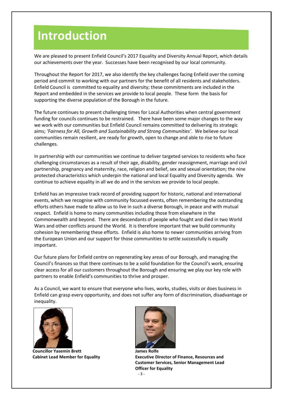## **Introduction**

We are pleased to present Enfield Council's 2017 Equality and Diversity Annual Report, which details our achievements over the year. Successes have been recognised by our local community.

Throughout the Report for 2017, we also identify the key challenges facing Enfield over the coming period and commit to working with our partners for the benefit of all residents and stakeholders. Enfield Council is committed to equality and diversity; these commitments are included in the Report and embedded in the services we provide to local people. These form the basis for supporting the diverse population of the Borough in the future.

The future continues to present challenging times for Local Authorities when central government funding for councils continues to be restrained. There have been some major changes to the way we work with our communities but Enfield Council remains committed to delivering its strategic aims; *'Fairness for All, Growth and Sustainability and Strong Communities'*. We believe our local communities remain resilient, are ready for growth, open to change and able to rise to future challenges.

In partnership with our communities we continue to deliver targeted services to residents who face challenging circumstances as a result of their age, disability, gender reassignment, marriage and civil partnership, pregnancy and maternity, race, religion and belief, sex and sexual orientation; the nine protected characteristics which underpin the national and local Equality and Diversity agenda. We continue to achieve equality in all we do and in the services we provide to local people.

Enfield has an impressive track record of providing support for historic, national and international events, which we recognise with community focussed events, often remembering the outstanding efforts others have made to allow us to live in such a diverse Borough, in peace and with mutual respect. Enfield is home to many communities including those from elsewhere in the Commonwealth and beyond. There are descendants of people who fought and died in two World Wars and other conflicts around the World. It is therefore important that we build community cohesion by remembering these efforts. Enfield is also home to newer communities arriving from the European Union and our support for those communities to settle successfully is equally important.

Our future plans for Enfield centre on regenerating key areas of our Borough, and managing the Council's finances so that there continues to be a solid foundation for the Council's work, ensuring clear access for all our customers throughout the Borough and ensuring we play our key role with partners to enable Enfield's communities to thrive and prosper.

As a Council, we want to ensure that everyone who lives, works, studies, visits or does business in Enfield can grasp every opportunity, and does not suffer any form of discrimination, disadvantage or inequality.



**Councillor Yasemin Brett James Rolfe**



**Cabinet Lead Member for Equality Executive Director of Finance, Resources and Customer Services, Senior Management Lead Officer for Equality**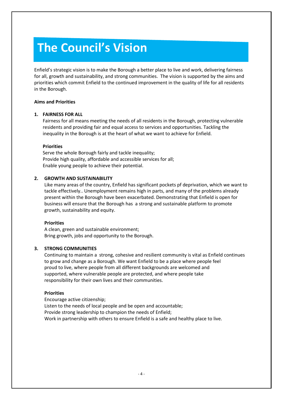## **The Council's Vision**

Enfield's strategic vision is to make the Borough a better place to live and work, delivering fairness for all, growth and sustainability, and strong communities. The vision is supported by the aims and priorities which commit Enfield to the continued improvement in the quality of life for all residents in the Borough.

#### **Aims and Priorities**

#### **1. FAIRNESS FOR ALL**

Fairness for all means meeting the needs of all residents in the Borough, protecting vulnerable residents and providing fair and equal access to services and opportunities. Tackling the inequality in the Borough is at the heart of what we want to achieve for Enfield.

#### **Priorities**

Serve the whole Borough fairly and tackle inequality; Provide high quality, affordable and accessible services for all; Enable young people to achieve their potential.

#### **2. GROWTH AND SUSTAINABILITY**

Like many areas of the country, Enfield has significant pockets pf deprivation, which we want to tackle effectively.. Unemployment remains high in parts, and many of the problems already present within the Borough have been exacerbated. Demonstrating that Enfield is open for business will ensure that the Borough has a strong and sustainable platform to promote growth, sustainability and equity.

#### **Priorities**

A clean, green and sustainable environment; Bring growth, jobs and opportunity to the Borough.

#### **3. STRONG COMMUNITIES**

Continuing to maintain a strong, cohesive and resilient community is vital as Enfield continues to grow and change as a Borough. We want Enfield to be a place where people feel proud to live, where people from all different backgrounds are welcomed and supported, where vulnerable people are protected, and where people take responsibility for their own lives and their communities.

#### **Priorities**

Encourage active citizenship; Listen to the needs of local people and be open and accountable; Provide strong leadership to champion the needs of Enfield; Work in partnership with others to ensure Enfield is a safe and healthy place to live.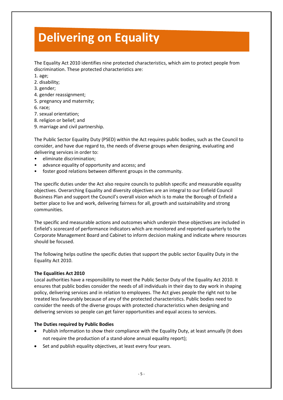## **Delivering on Equality**

The Equality Act 2010 identifies nine protected characteristics, which aim to protect people from discrimination. These protected characteristics are:

- 1. age;
- 2. disability;
- 3. gender;
- 4. gender reassignment;
- 5. pregnancy and maternity;
- 6. race;
- 7. sexual orientation;
- 8. religion or belief; and
- 9. marriage and civil partnership.

The Public Sector Equality Duty (PSED) within the Act requires public bodies, such as the Council to consider, and have due regard to, the needs of diverse groups when designing, evaluating and delivering services in order to:

- eliminate discrimination;
- advance equality of opportunity and access; and
- foster good relations between different groups in the community.

The specific duties under the Act also require councils to publish specific and measurable equality objectives. Overarching Equality and diversity objectives are an integral to our Enfield Council Business Plan and support the Council's overall vision which is to make the Borough of Enfield a better place to live and work, delivering fairness for all, growth and sustainability and strong communities.

The specific and measurable actions and outcomes which underpin these objectives are included in Enfield's scorecard of performance indicators which are monitored and reported quarterly to the Corporate Management Board and Cabinet to inform decision making and indicate where resources should be focused.

The following helps outline the specific duties that support the public sector Equality Duty in the Equality Act 2010.

#### **The Equalities Act 2010**

Local authorities have a responsibility to meet the Public Sector Duty of the Equality Act 2010. It ensures that public bodies consider the needs of all individuals in their day to day work in shaping policy, delivering services and in relation to employees. The Act gives people the right not to be treated less favourably because of any of the protected characteristics. Public bodies need to consider the needs of the diverse groups with protected characteristics when designing and delivering services so people can get fairer opportunities and equal access to services.

#### **The Duties required by Public Bodies**

- Publish information to show their compliance with the Equality Duty, at least annually (It does not require the production of a stand-alone annual equality report);
- Set and publish equality objectives, at least every four years.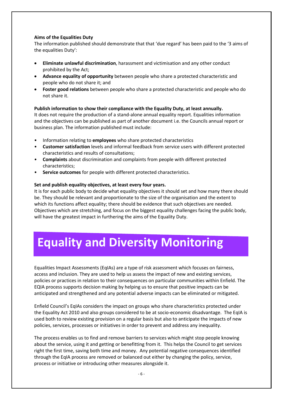#### **Aims of the Equalities Duty**

The information published should demonstrate that that 'due regard' has been paid to the '3 aims of the equalities Duty':

- **Eliminate unlawful discrimination**, harassment and victimisation and any other conduct prohibited by the Act;
- **Advance equality of opportunity** between people who share a protected characteristic and people who do not share it; and
- **Foster good relations** between people who share a protected characteristic and people who do not share it.

#### **Publish information to show their compliance with the Equality Duty, at least annually.**

It does not require the production of a stand-alone annual equality report. Equalities information and the objectives can be published as part of another document i.e. the Councils annual report or business plan. The information published must include:

- Information relating to **employees** who share protected characteristics
- **Customer satisfaction** levels and informal feedback from service users with different protected characteristics and results of consultations;
- **Complaints** about discrimination and complaints from people with different protected characteristics;
- **Service outcomes** for people with different protected characteristics.

#### **Set and publish equality objectives, at least every four years.**

It is for each public body to decide what equality objectives it should set and how many there should be. They should be relevant and proportionate to the size of the organisation and the extent to which its functions affect equality; there should be evidence that such objectives are needed. Objectives which are stretching, and focus on the biggest equality challenges facing the public body, will have the greatest impact in furthering the aims of the Equality Duty.

## **Equality and Diversity Monitoring**

Equalities Impact Assessments (EqIAs) are a type of risk assessment which focuses on fairness, access and inclusion. They are used to help us assess the impact of new and existing services, policies or practices in relation to their consequences on particular communities within Enfield. The EQIA process supports decision making by helping us to ensure that positive impacts can be anticipated and strengthened and any potential adverse impacts can be eliminated or mitigated.

Enfield Council's EqIAs considers the impact on groups who share characteristics protected under the Equality Act 2010 and also groups considered to be at socio-economic disadvantage. The EqIA is used both to review existing provision on a regular basis but also to anticipate the impacts of new policies, services, processes or initiatives in order to prevent and address any inequality.

The process enables us to find and remove barriers to services which might stop people knowing about the service, using it and getting or benefitting from it. This helps the Council to get services right the first time, saving both time and money. Any potential negative consequences identified through the EqIA process are removed or balanced out either by changing the policy, service, process or initiative or introducing other measures alongside it.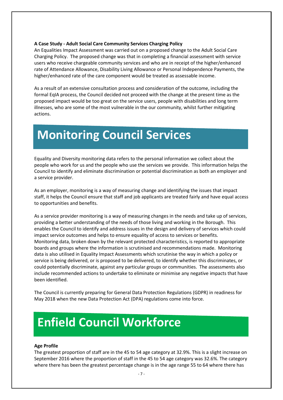#### **A Case Study - Adult Social Care Community Services Charging Policy**

An Equalities Impact Assessment was carried out on a proposed change to the Adult Social Care Charging Policy. The proposed change was that in completing a financial assessment with service users who receive chargeable community services and who are in receipt of the higher/enhanced rate of Attendance Allowance, Disability Living Allowance or Personal Independence Payments, the higher/enhanced rate of the care component would be treated as assessable income.

As a result of an extensive consultation process and consideration of the outcome, including the formal EqIA process, the Council decided not proceed with the change at the present time as the proposed impact would be too great on the service users, people with disabilities and long term illnesses, who are some of the most vulnerable in the our community, whilst further mitigating actions.

## **Monitoring Council Services**

Equality and Diversity monitoring data refers to the personal information we collect about the people who work for us and the people who use the services we provide. This information helps the Council to identify and eliminate discrimination or potential discrimination as both an employer and a service provider.

As an employer, monitoring is a way of measuring change and identifying the issues that impact staff, it helps the Council ensure that staff and job applicants are treated fairly and have equal access to opportunities and benefits.

As a service provider monitoring is a way of measuring changes in the needs and take up of services, providing a better understanding of the needs of those living and working in the Borough. This enables the Council to identify and address issues in the design and delivery of services which could impact service outcomes and helps to ensure equality of access to services or benefits. Monitoring data, broken down by the relevant protected characteristics, is reported to appropriate boards and groups where the information is scrutinised and recommendations made. Monitoring data is also utilised in Equality Impact Assessments which scrutinise the way in which a policy or service is being delivered, or is proposed to be delivered, to identify whether this discriminates, or could potentially discriminate, against any particular groups or communities. The assessments also include recommended actions to undertake to eliminate or minimise any negative impacts that have been identified.

The Council is currently preparing for General Data Protection Regulations (GDPR) in readiness for May 2018 when the new Data Protection Act (DPA) regulations come into force.

## **Enfield Council Workforce**

#### **Age Profile**

The greatest proportion of staff are in the 45 to 54 age category at 32.9%. This is a slight increase on September 2016 where the proportion of staff in the 45 to 54 age category was 32.6%. The category where there has been the greatest percentage change is in the age range 55 to 64 where there has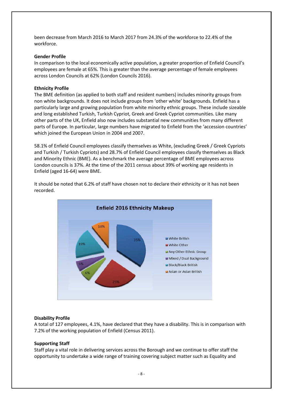been decrease from March 2016 to March 2017 from 24.3% of the workforce to 22.4% of the workforce.

#### **Gender Profile**

In comparison to the local economically active population, a greater proportion of Enfield Council's employees are female at 65%. This is greater than the average percentage of female employees across London Councils at 62% (London Councils 2016).

#### **Ethnicity Profile**

The BME definition (as applied to both staff and resident numbers) includes minority groups from non white backgrounds. It does not include groups from 'other white' backgrounds. Enfield has a particularly large and growing population from white minority ethnic groups. These include sizeable and long established Turkish, Turkish Cypriot, Greek and Greek Cypriot communities. Like many other parts of the UK, Enfield also now includes substantial new communities from many different parts of Europe. In particular, large numbers have migrated to Enfield from the 'accession countries' which joined the European Union in 2004 and 2007.

58.1% of Enfield Council employees classify themselves as White, (excluding Greek / Greek Cypriots and Turkish / Turkish Cypriots) and 28.7% of Enfield Council employees classify themselves as Black and Minority Ethnic (BME). As a benchmark the average percentage of BME employees across London councils is 37%. At the time of the 2011 census about 39% of working age residents in Enfield (aged 16-64) were BME.



It should be noted that 6.2% of staff have chosen not to declare their ethnicity or it has not been recorded.

#### **Disability Profile**

A total of 127 employees, 4.1%, have declared that they have a disability. This is in comparison with 7.2% of the working population of Enfield (Census 2011).

#### **Supporting Staff**

Staff play a vital role in delivering services across the Borough and we continue to offer staff the opportunity to undertake a wide range of training covering subject matter such as Equality and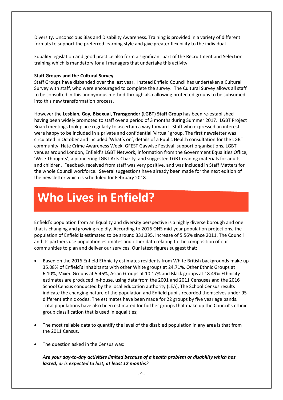Diversity, Unconscious Bias and Disability Awareness. Training is provided in a variety of different formats to support the preferred learning style and give greater flexibility to the individual.

Equality legislation and good practice also form a significant part of the Recruitment and Selection training which is mandatory for all managers that undertake this activity.

#### **Staff Groups and the Cultural Survey**

Staff Groups have disbanded over the last year. Instead Enfield Council has undertaken a Cultural Survey with staff, who were encouraged to complete the survey. The Cultural Survey allows all staff to be consulted in this anonymous method through also allowing protected groups to be subsumed into this new transformation process.

However the **Lesbian, Gay, Bisexual, Transgender (LGBT) Staff Group** has been re-established having been widely promoted to staff over a period of 3 months during Summer 2017. LGBT Project Board meetings took place regularly to ascertain a way forward. Staff who expressed an interest were happy to be included in a private and confidential 'virtual' group. The first newsletter was circulated in October and included 'What's on', details of a Public Health consultation for the LGBT community, Hate Crime Awareness Week, GFEST Gaywise Festival, support organisations, LGBT venues around London, Enfield's LGBT Network, information from the Government Equalities Office, 'Wise Thoughts', a pioneering LGBT Arts Charity and suggested LGBT reading materials for adults and children. Feedback received from staff was very positive, and was included in Staff Matters for the whole Council workforce. Several suggestions have already been made for the next edition of the newsletter which is scheduled for February 2018.

## **Who Lives in Enfield?**

Enfield's population from an Equality and diversity perspective is a highly diverse borough and one that is changing and growing rapidly. According to 2016 ONS mid-year population projections, the population of Enfield is estimated to be around 331,395, increase of 5.56% since 2011. The Council and its partners use population estimates and other data relating to the composition of our communities to plan and deliver our services. Our latest figures suggest that:

- Based on the 2016 Enfield Ethnicity estimates residents from White British backgrounds make up 35.08% of Enfield's inhabitants with other White groups at 24.71%, Other Ethnic Groups at 6.10%, Mixed Groups at 5.46%, Asian Groups at 10.17% and Black groups at 18.49%.Ethnicity estimates are produced in-house, using data from the 2001 and 2011 Censuses and the 2016 School Census conducted by the local education authority (LEA), The School Census results indicate the changing nature of the population and Enfield pupils recorded themselves under 95 different ethnic codes. The estimates have been made for 22 groups by five year age bands. Total populations have also been estimated for further groups that make up the Council's ethnic group classification that is used in equalities;
- The most reliable data to quantify the level of the disabled population in any area is that from the 2011 Census.
- The question asked in the Census was:

*Are your day-to-day activities limited because of a health problem or disability which has lasted, or is expected to last, at least 12 months?*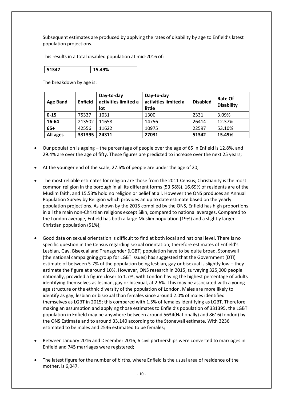Subsequent estimates are produced by applying the rates of disability by age to Enfield's latest population projections.

This results in a total disabled population at mid-2016 of:

The breakdown by age is:

| <b>Age Band</b> | Enfield | Day-to-day<br>activities limited a<br>lot | Day-to-day<br>activities limited a<br>little | <b>Disabled</b> | <b>Rate Of</b><br><b>Disability</b> |
|-----------------|---------|-------------------------------------------|----------------------------------------------|-----------------|-------------------------------------|
| $0 - 15$        | 75337   | 1031                                      | 1300                                         | 2331            | 3.09%                               |
| 16-64           | 213502  | 11658                                     | 14756                                        | 26414           | 12.37%                              |
| $65+$           | 42556   | 11622                                     | 10975                                        | 22597           | 53.10%                              |
| All ages        | 331395  | 24311                                     | 27031                                        | 51342           | 15.49%                              |

- Our population is ageing the percentage of people over the age of 65 in Enfield is 12.8%, and 29.4% are over the age of fifty. These figures are predicted to increase over the next 25 years;
- At the younger end of the scale, 27.6% of people are under the age of 20;
- The most reliable estimates for religion are those from the 2011 Census; Christianity is the most common religion in the borough in all its different forms (53.58%). 16.69% of residents are of the Muslim faith, and 15.53% hold no religion or belief at all. However the ONS produces an Annual Population Survey by Religion which provides an up to date estimate based on the yearly population projections. As shown by the 2015 compiled by the ONS, Enfield has high proportions in all the main non-Christian religions except Sikh, compared to national averages. Compared to the London average, Enfield has both a large Muslim population (19%) and a slightly larger Christian population (51%);
- Good data on sexual orientation is difficult to find at both local and national level. There is no specific question in the Census regarding sexual orientation; therefore estimates of Enfield's Lesbian, Gay, Bisexual and Transgender (LGBT) population have to be quite broad. Stonewall (the national campaigning group for LGBT issues) has suggested that the Government (DTI) estimate of between 5-7% of the population being lesbian, gay or bisexual is slightly low – they estimate the figure at around 10%. However, ONS research in 2015, surveying 325,000 people nationally, provided a figure closer to 1.7%, with London having the highest percentage of adults identifying themselves as lesbian, gay or bisexual, at 2.6%. This may be associated with a young age structure or the ethnic diversity of the population of London. Males are more likely to identify as gay, lesbian or bisexual than females since around 2.0% of males identified themselves as LGBT in 2015; this compared with 1.5% of females identifying as LGBT. Therefore making an assumption and applying those estimates to Enfield's population of 331395, the LGBT population in Enfield may be anywhere between around 5634(Nationally) and 8616(London) by the ONS Estimate and to around 33,140 according to the Stonewall estimate. With 3236 estimated to be males and 2546 estimated to be females;
- Between January 2016 and December 2016, 6 civil partnerships were converted to marriages in Enfield and 745 marriages were registered;
- The latest figure for the number of births, where Enfield is the usual area of residence of the mother, is 6,047.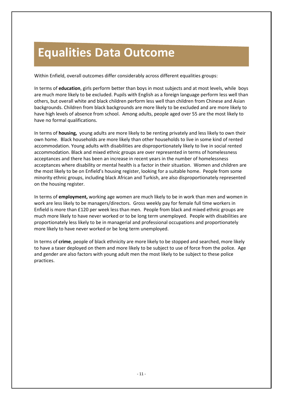## **Equalities Data Outcome**

Within Enfield, overall outcomes differ considerably across different equalities groups:

In terms of **education**, girls perform better than boys in most subjects and at most levels, while boys are much more likely to be excluded. Pupils with English as a foreign language perform less well than others, but overall white and black children perform less well than children from Chinese and Asian backgrounds. Children from black backgrounds are more likely to be excluded and are more likely to have high levels of absence from school. Among adults, people aged over 55 are the most likely to have no formal qualifications.

In terms of **housing,** young adults are more likely to be renting privately and less likely to own their own home. Black households are more likely than other households to live in some kind of rented accommodation. Young adults with disabilities are disproportionately likely to live in social rented accommodation. Black and mixed ethnic groups are over represented in terms of homelessness acceptances and there has been an increase in recent years in the number of homelessness acceptances where disability or mental health is a factor in their situation. Women and children are the most likely to be on Enfield's housing register, looking for a suitable home. People from some minority ethnic groups, including black African and Turkish, are also disproportionately represented on the housing register.

In terms of **employment,** working age women are much likely to be in work than men and women in work are less likely to be managers/directors. Gross weekly pay for female full time workers in Enfield is more than £120 per week less than men. People from black and mixed ethnic groups are much more likely to have never worked or to be long term unemployed. People with disabilities are proportionately less likely to be in managerial and professional occupations and proportionately more likely to have never worked or be long term unemployed.

In terms of **crime**, people of black ethnicity are more likely to be stopped and searched, more likely to have a taser deployed on them and more likely to be subject to use of force from the police. Age and gender are also factors with young adult men the most likely to be subject to these police practices.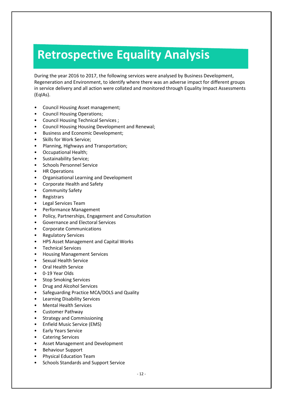## **Retrospective Equality Analysis**

During the year 2016 to 2017, the following services were analysed by Business Development, Regeneration and Environment, to identify where there was an adverse impact for different groups in service delivery and all action were collated and monitored through Equality Impact Assessments (EqIAs).

- Council Housing Asset management;
- Council Housing Operations;
- Council Housing Technical Services ;
- Council Housing Housing Development and Renewal;
- Business and Economic Development;
- Skills for Work Service;
- Planning, Highways and Transportation;
- Occupational Health;
- Sustainability Service;
- Schools Personnel Service
- HR Operations
- Organisational Learning and Development
- Corporate Health and Safety
- Community Safety
- Registrars
- Legal Services Team
- Performance Management
- Policy, Partnerships, Engagement and Consultation
- Governance and Electoral Services
- Corporate Communications
- Regulatory Services
- HPS Asset Management and Capital Works
- Technical Services
- Housing Management Services
- Sexual Health Service
- Oral Health Service
- 0-19 Year Olds
- Stop Smoking Services
- Drug and Alcohol Services
- Safeguarding Practice MCA/DOLS and Quality
- Learning Disability Services
- Mental Health Services
- Customer Pathway
- Strategy and Commissioning
- Enfield Music Service (EMS)
- **Early Years Service**
- Catering Services
- Asset Management and Development
- Behaviour Support
- Physical Education Team
- Schools Standards and Support Service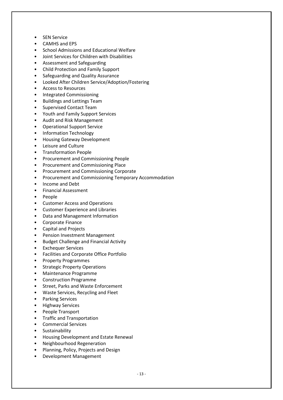- **SEN Service**
- CAMHS and EPS
- School Admissions and Educational Welfare
- Joint Services for Children with Disabilities
- Assessment and Safeguarding
- Child Protection and Family Support
- Safeguarding and Quality Assurance
- Looked After Children Service/Adoption/Fostering
- Access to Resources
- Integrated Commissioning
- Buildings and Lettings Team
- Supervised Contact Team
- Youth and Family Support Services
- Audit and Risk Management
- Operational Support Service
- Information Technology
- Housing Gateway Development
- Leisure and Culture
- Transformation People
- Procurement and Commissioning People
- Procurement and Commissioning Place
- Procurement and Commissioning Corporate
- Procurement and Commissioning Temporary Accommodation
- Income and Debt
- Financial Assessment
- People
- Customer Access and Operations
- Customer Experience and Libraries
- Data and Management Information
- Corporate Finance
- Capital and Projects
- Pension Investment Management
- Budget Challenge and Financial Activity
- **Exchequer Services**
- Facilities and Corporate Office Portfolio
- Property Programmes
- Strategic Property Operations
- Maintenance Programme
- Construction Programme
- Street, Parks and Waste Enforcement
- Waste Services, Recycling and Fleet
- Parking Services
- Highway Services
- People Transport
- Traffic and Transportation
- Commercial Services
- **Sustainability**
- Housing Development and Estate Renewal
- Neighbourhood Regeneration
- Planning, Policy, Projects and Design
- Development Management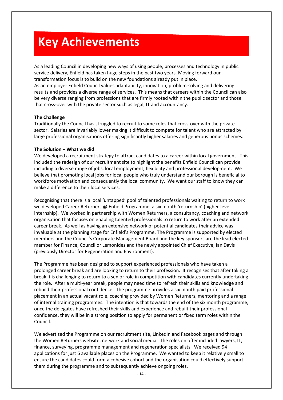## **Key Achievements**

As a leading Council in developing new ways of using people, processes and technology in public service delivery, Enfield has taken huge steps in the past two years. Moving forward our transformation focus is to build on the new foundations already put in place. As an employer Enfield Council values adaptability, innovation, problem-solving and delivering results and provides a diverse range of services. This means that careers within the Council can also

be very diverse ranging from professions that are firmly rooted within the public sector and those that cross-over with the private sector such as legal, IT and accountancy.

#### **The Challenge**

Traditionally the Council has struggled to recruit to some roles that cross-over with the private sector. Salaries are invariably lower making it difficult to compete for talent who are attracted by large professional organisations offering significantly higher salaries and generous bonus schemes.

#### **The Solution – What we did**

We developed a recruitment strategy to attract candidates to a career within local government. This included the redesign of our recruitment site to highlight the benefits Enfield Council can provide including a diverse range of jobs, local employment, flexibility and professional development. We believe that promoting local jobs for local people who truly understand our borough is beneficial to workforce motivation and consequently the local community. We want our staff to know they can make a difference to their local services.

Recognising that there is a local 'untapped' pool of talented professionals waiting to return to work we developed Career Returners @ Enfield Programme, a six month 'returnship' (higher-level internship). We worked in partnership with Women Returners, a consultancy, coaching and network organisation that focuses on enabling talented professionals to return to work after an extended career break. As well as having an extensive network of potential candidates their advice was invaluable at the planning stage for Enfield's Programme. The Programme is supported by elected members and the Council's Corporate Management Board and the key sponsors are the lead elected member for Finance, Councillor Lemonides and the newly appointed Chief Executive, Ian Davis (previously Director for Regeneration and Environment).

The Programme has been designed to support experienced professionals who have taken a prolonged career break and are looking to return to their profession. It recognises that after taking a break it is challenging to return to a senior role in competition with candidates currently undertaking the role. After a multi-year break, people may need time to refresh their skills and knowledge and rebuild their professional confidence. The programme provides a six month paid professional placement in an actual vacant role, coaching provided by Women Returners, mentoring and a range of internal training programmes. The intention is that towards the end of the six month programme, once the delegates have refreshed their skills and experience and rebuilt their professional confidence, they will be in a strong position to apply for permanent or fixed term roles within the Council.

We advertised the Programme on our recruitment site, LinkedIn and Facebook pages and through the Women Returners website, network and social media. The roles on offer included lawyers, IT, finance, surveying, programme management and regeneration specialists. We received 94 applications for just 6 available places on the Programme. We wanted to keep it relatively small to ensure the candidates could form a cohesive cohort and the organisation could effectively support them during the programme and to subsequently achieve ongoing roles.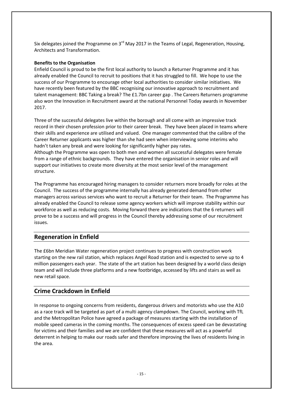Six delegates joined the Programme on 3<sup>rd</sup> May 2017 in the Teams of Legal, Regeneration, Housing, Architects and Transformation.

#### **Benefits to the Organisation**

Enfield Council is proud to be the first local authority to launch a Returner Programme and it has already enabled the Council to recruit to positions that it has struggled to fill. We hope to use the success of our Programme to encourage other local authorities to consider similar initiatives. We have recently been featured by the BBC recognising our innovative approach to recruitment and talent management: [BBC Taking a break? The £1.7bn career gap](http://www.bbc.co.uk/news/business-39939141) . The Careers Returners programme also won the Innovation in Recruitment award at the national Personnel Today awards in November 2017.

Three of the successful delegates live within the borough and all come with an impressive track record in their chosen profession prior to their career break. They have been placed in teams where their skills and experience are utilised and valued. One manager commented that the calibre of the Career Returner applicants was higher than she had seen when interviewing some interims who hadn't taken any break and were looking for significantly higher pay rates. Although the Programme was open to both men and women all successful delegates were female

from a range of ethnic backgrounds. They have entered the organisation in senior roles and will support our initiatives to create more diversity at the most senior level of the management structure.

The Programme has encouraged hiring managers to consider returners more broadly for roles at the Council. The success of the programme internally has already generated demand from other managers across various services who want to recruit a Returner for their team. The Programme has already enabled the Council to release some agency workers which will improve stability within our workforce as well as reducing costs. Moving forward there are indications that the 6 returners will prove to be a success and will progress in the Council thereby addressing some of our recruitment issues.

### **Regeneration in Enfield**

The £6bn Meridian Water regeneration project continues to progress with construction work starting on the new rail station, which replaces Angel Road station and is expected to serve up to 4 million passengers each year. The state of the art station has been designed by a world class design team and will include three platforms and a new footbridge, accessed by lifts and stairs as well as new retail space.

## **Crime Crackdown in Enfield**

In response to ongoing concerns from residents, dangerous drivers and motorists who use the A10 as a race track will be targeted as part of a multi agency clampdown. The Council, working with TfL and the Metropolitan Police have agreed a package of measures starting with the installation of mobile speed cameras in the coming months. The consequences of excess speed can be devastating for victims and their families and we are confident that these measures will act as a powerful deterrent in helping to make our roads safer and therefore improving the lives of residents living in the area.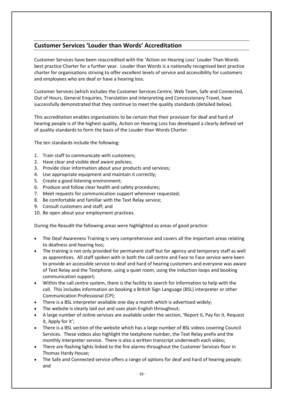## **Customer Services 'Louder than Words' Accreditation**

Customer Services have been reaccredited with the 'Action on Hearing Loss' Louder Than Words best practice Charter for a further year. Louder than Words is a nationally recognised best practice charter for organisations striving to offer excellent levels of service and accessibility for customers and employees who are deaf or have a hearing loss.

Customer Services (which includes the Customer Services Centre, Web Team, Safe and Connected, Out of Hours, General Enquiries, Translation and Interpreting and Concessionary Travel, have successfully demonstrated that they continue to meet the quality standards (detailed below).

This accreditation enables organisations to be certain that their provision for deaf and hard of hearing people is of the highest quality, Action on Hearing Loss has developed a clearly defined set of quality standards to form the basis of the Louder than Words Charter.

The ten standards include the following:

- 1. Train staff to communicate with customers;
- 2. Have clear and visible deaf aware policies;
- 3. Provide clear information about your products and services;
- 4. Use appropriate equipment and maintain it correctly;
- 5. Create a good listening environment;
- 6. Produce and follow clear health and safety procedures;
- 7. Meet requests for communication support whenever requested;
- 8. Be comfortable and familiar with the Text Relay service;
- 9. Consult customers and staff; and
- 10. Be open about your employment practices.

During the Reaudit the following areas were highlighted as areas of good practice:

- The Deaf Awareness Training is very comprehensive and covers all the important areas relating to deafness and hearing loss;
- The training is not only provided for permanent staff but for agency and temporary staff as well as apprentices. All staff spoken with in both the call centre and Face to Face service were keen to provide an accessible service to deaf and hard of hearing customers and everyone was aware of Text Relay and the Textphone, using a quiet room, using the induction loops and booking communication support;
- Within the call centre system, there is the facility to search for information to help with the call. This includes information on booking a British Sign Language (BSL) interpreter or other Communication Professional (CP);
- There is a BSL interpreter available one day a month which is advertised widely;
- The website is clearly laid out and uses plain English throughout;
- A large number of online services are available under the section, 'Report it, Pay for it, Request it, Apply for it';
- There is a BSL section of the website which has a large number of BSL videos covering Council Services. These videos also highlight the textphone number, the Text Relay prefix and the monthly interpreter service. There is also a written transcript underneath each video;
- There are flashing lights linked to the fire alarms throughout the Customer Services floor in Thomas Hardy House;
- The Safe and Connected service offers a range of options for deaf and hard of hearing people; and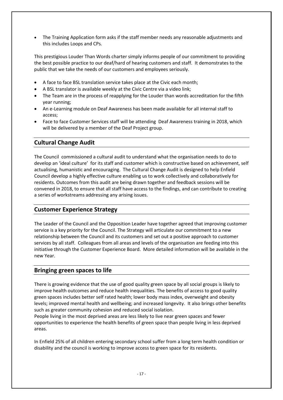• The Training Application form asks if the staff member needs any reasonable adjustments and this includes Loops and CPs.

This prestigious Louder Than Words charter simply informs people of our commitment to providing the best possible practice to our deaf/hard of hearing customers and staff. It demonstrates to the public that we take the needs of our customers and employees seriously.

- A face to face BSL translation service takes place at the Civic each month;
- A BSL translator is available weekly at the Civic Centre via a video link;
- The Team are in the process of reapplying for the Louder than words accreditation for the fifth year running;
- An e-Learning module on Deaf Awareness has been made available for all internal staff to access;
- Face to face Customer Services staff will be attending Deaf Awareness training in 2018, which will be delivered by a member of the Deaf Project group.

### **Cultural Change Audit**

The Council commissioned a cultural audit to understand what the organisation needs to do to develop an 'ideal culture' for its staff and customer which is constructive based on achievement, self actualising, humanistic and encouraging. The Cultural Change Audit is designed to help Enfield Council develop a highly effective culture enabling us to work collectively and collaboratively for residents. Outcomes from this audit are being drawn together and feedback sessions will be convened in 2018, to ensure that all staff have access to the findings, and can contribute to creating a series of workstreams addressing any arising issues.

### **Customer Experience Strategy**

The Leader of the Council and the Opposition Leader have together agreed that improving customer service is a key priority for the Council. The Strategy will articulate our commitment to a new relationship between the Council and its customers and set out a positive approach to customer services by all staff. Colleagues from all areas and levels of the organisation are feeding into this initiative through the Customer Experience Board. More detailed information will be available in the new Year.

### **Bringing green spaces to life**

There is growing evidence that the use of good quality green space by all social groups is likely to improve health outcomes and reduce health inequalities. The benefits of access to good quality green spaces includes better self rated health; lower body mass index, overweight and obesity levels; improved mental health and wellbeing; and increased longevity. It also brings other benefits such as greater community cohesion and reduced social isolation.

People living in the most deprived areas are less likely to live near green spaces and fewer opportunities to experience the health benefits of green space than people living in less deprived areas.

In Enfield 25% of all children entering secondary school suffer from a long term health condition or disability and the council is working to improve access to green space for its residents.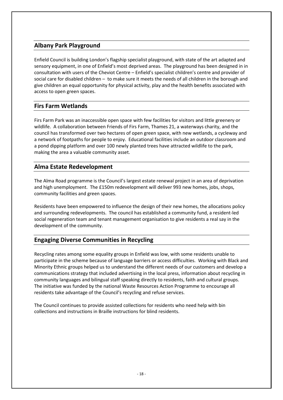## **Albany Park Playground**

Enfield Council is building London's flagship specialist playground, with state of the art adapted and sensory equipment, in one of Enfield's most deprived areas. The playground has been designed in in consultation with users of the Cheviot Centre – Enfield's specialist children's centre and provider of social care for disabled children – to make sure it meets the needs of all children in the borough and give children an equal opportunity for physical activity, play and the health benefits associated with access to open green spaces.

## **Firs Farm Wetlands**

Firs Farm Park was an inaccessible open space with few facilities for visitors and little greenery or wildlife. A collaboration between Friends of Firs Farm, Thames 21, a waterways charity, and the council has transformed over two hectares of open green space, with new wetlands, a cycleway and a network of footpaths for people to enjoy. Educational facilities include an outdoor classroom and a pond dipping platform and over 100 newly planted trees have attracted wildlife to the park, making the area a valuable community asset.

## **Alma Estate Redevelopment**

The Alma Road programme is the Council's largest estate renewal project in an area of deprivation and high unemployment. The £150m redevelopment will deliver 993 new homes, jobs, shops, community facilities and green spaces.

Residents have been empowered to influence the design of their new homes, the allocations policy and surrounding redevelopments. The council has established a community fund, a resident-led social regeneration team and tenant management organisation to give residents a real say in the development of the community.

## **Engaging Diverse Communities in Recycling**

Recycling rates among some equality groups in Enfield was low, with some residents unable to participate in the scheme because of language barriers or access difficulties. Working with Black and Minority Ethnic groups helped us to understand the different needs of our customers and develop a communications strategy that included advertising in the local press, information about recycling in community languages and bilingual staff speaking directly to residents, faith and cultural groups. The initiative was funded by the national Waste Resources Action Programme to encourage all residents take advantage of the Council's recycling and refuse services.

The Council continues to provide assisted collections for residents who need help with bin collections and instructions in Braille instructions for blind residents.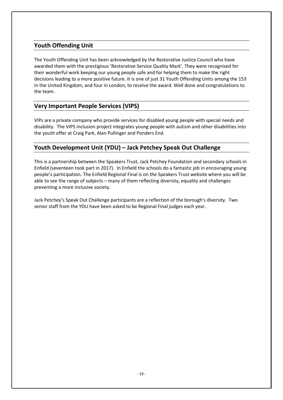## **Youth Offending Unit**

The Youth Offending Unit has been acknowledged by the Restorative Justice Council who have awarded them with the prestigious 'Restorative Service Quality Mark'. They were recognised for their wonderful work keeping our young people safe and for helping them to make the right decisions leading to a more positive future. It is one of just 31 Youth Offending Units among the 153 in the United Kingdom, and four in London, to receive the award. Well done and congratulations to the team.

## **Very Important People Services (VIPS)**

VIPs are a private company who provide services for disabled young people with special needs and disability. The VIPS inclusion project integrates young people with autism and other disabilities into the youth offer at Craig Park, Alan Pullinger and Ponders End.

## **Youth Development Unit (YDU) – Jack Petchey Speak Out Challenge**

This is a partnership between the Speakers Trust, Jack Petchey Foundation and secondary schools in Enfield (seventeen took part in 2017). In Enfield the schools do a fantastic job in encouraging young people's participation. The Enfield Regional Final is on the Speakers Trust website where you will be able to see the range of subjects – many of them reflecting diversity, equality and challenges preventing a more inclusive society.

Jack Petchey's Speak Out Challenge participants are a reflection of the borough's diversity. Two senior staff from the YDU have been asked to be Regional Final judges each year.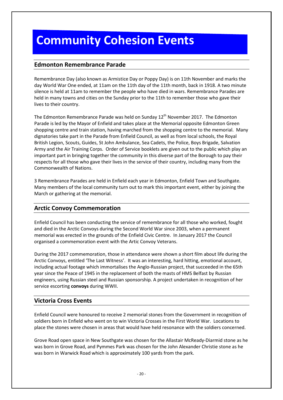## **Community Cohesion Events**

## **Edmonton Remembrance Parade**

Remembrance Day (also known as Armistice Day or Poppy Day) is on 11th November and marks the day World War One ended, at 11am on the 11th day of the 11th month, back in 1918. A two minute silence is held at 11am to remember the people who have died in wars. Remembrance Parades are held in many towns and cities on the Sunday prior to the 11th to remember those who gave their lives to their country.

The Edmonton Remembrance Parade was held on Sunday  $12<sup>th</sup>$  November 2017. The Edmonton Parade is led by the Mayor of Enfield and takes place at the Memorial opposite Edmonton Green shopping centre and train station, having marched from the shopping centre to the memorial. Many dignatories take part in the Parade from Enfield Council, as well as from local schools, the Royal British Legion, Scouts, Guides, St John Ambulance, Sea Cadets, the Police, Boys Brigade, Salvation Army and the Air Training Corps. Order of Service booklets are given out to the public which play an important part in bringing together the community in this diverse part of the Borough to pay their respects for all those who gave their lives in the service of their country, including many from the Commonwealth of Nations.

3 Remembrance Parades are held in Enfield each year in Edmonton, Enfield Town and Southgate. Many members of the local community turn out to mark this important event, either by joining the March or gathering at the memorial.

## **Arctic Convoy Commemoration**

Enfield Council has been conducting the service of remembrance for all those who worked, fought and died in the Arctic Convoys during the Second World War since 2003, when a permanent memorial was erected in the grounds of the Enfield Civic Centre. In January 2017 the Council organised a commemoration event with the Artic Convoy Veterans.

During the 2017 commemoration, those in attendance were shown a short film about life during the Arctic Convoys, entitled 'The Last Witness'. It was an interesting, hard hitting, emotional account, including actual footage which immortalises the Anglo-Russian project, that succeeded in the 65th year since the Peace of 1945 in the replacement of both the masts of HMS Belfast by Russian engineers, using Russian steel and Russian sponsorship. A project undertaken in recognition of her service escorting **convoys** during WWII.

### **Victoria Cross Events**

Enfield Council were honoured to receive 2 memorial stones from the Government in recognition of soldiers born in Enfield who went on to win Victoria Crosses in the First World War. Locations to place the stones were chosen in areas that would have held resonance with the soldiers concerned.

Grove Road open space in New Southgate was chosen for the Allastair McReady-Diarmid stone as he was born in Grove Road, and Pymmes Park was chosen for the John Alexander Christie stone as he was born in Warwick Road which is approximately 100 yards from the park.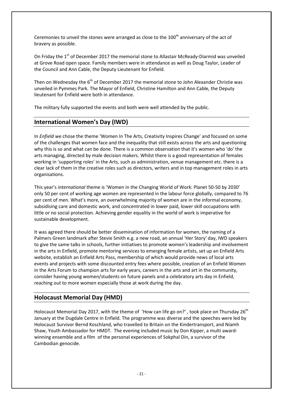Ceremonies to unveil the stones were arranged as close to the  $100<sup>th</sup>$  anniversary of the act of bravery as possible.

On Friday the 1<sup>st</sup> of December 2017 the memorial stone to Allastair McReady-Diarmid was unveiled at Grove Road open space. Family members were in attendance as well as Doug Taylor, Leader of the Council and Ann Cable, the Deputy Lieutenant for Enfield.

Then on Wednesday the  $6<sup>th</sup>$  of December 2017 the memorial stone to John Alexander Christie was unveiled in Pymmes Park. The Mayor of Enfield, Christine Hamilton and Ann Cable, the Deputy lieutenant for Enfield were both in attendance.

The military fully supported the events and both were well attended by the public.

## **International Women's Day (IWD)**

In *Enfield* we chose the theme 'Women In The Arts, Creativity Inspires Change' and focused on some of the challenges that women face and the inequality that still exists across the arts and questioning why this is so and what can be done. There is a common observation that it's women who 'do' the arts managing, directed by male decision makers. Whilst there is a good representation of females working in 'supporting roles' in the Arts, such as administration, venue management etc. there is a clear lack of them in the creative roles such as directors, writers and in top management roles in arts organisations.

This year's *international* theme is 'Women in the Changing World of Work: Planet 50-50 by 2030' only 50 per cent of working age women are represented in the labour force globally, compared to 76 per cent of men. What's more, an overwhelming majority of women are in the informal economy, subsidising care and domestic work, and concentrated in lower paid, lower skill occupations with little or no social protection. Achieving gender equality in the world of work is imperative for sustainable development.

It was agreed there should be better dissemination of information for women, the naming of a Palmers Green landmark after Stevie Smith e.g. a new road, an annual 'Her Story' day, IWD speakers to give the same talks in schools, further initiatives to promote women's leadership and involvement in the arts in Enfield, promote mentoring services to emerging female artists, set up an Enfield Arts website, establish an Enfield Arts Pass, membership of which would provide news of local arts events and projects with some discounted entry fees where possible, creation of an Enfield Women in the Arts Forum to champion arts for early years, careers in the arts and art in the community, consider having young women/students on future panels and a celebratory arts day in Enfield, reaching out to more women especially those at work during the day.

## **Holocaust Memorial Day (HMD)**

Holocaust Memorial Day 2017, with the theme of 'How can life go on?', took place on Thursday 26<sup>th</sup> January at the Dugdale Centre in Enfield. The programme was diverse and the speeches were led by Holocaust Survivor Bernd Koschland, who travelled to Britain on the Kindertransport, and Niamh Shaw, Youth Ambassador for HMDT. The evening included music by Don Kipper, a multi awardwinning ensemble and a film of the personal experiences of Sokphal Din, a survivor of the Cambodian genocide.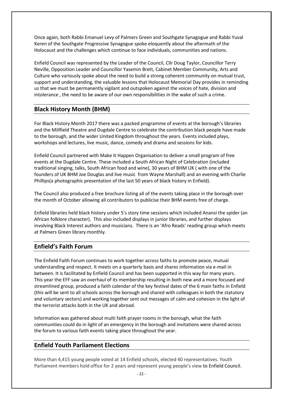Once again, both Rabbi Emanuel Levy of Palmers Green and Southgate Synagogue and Rabbi Yuval Keren of the Southgate Progressive Synagogue spoke eloquently about the aftermath of the Holocaust and the challenges which continue to face individuals, communities and nations.

Enfield Council was represented by the Leader of the Council, Cllr Doug Taylor, Councillor Terry Neville, Opposition Leader and Councillor Yasemin Brett, Cabinet Member Community, Arts and Culture who variously spoke about the need to build a strong coherent community on mutual trust, support and understanding, the valuable lessons that Holocaust Memorial Day provides in reminding us that we must be permanently vigilant and outspoken against the voices of hate, division and intolerance , the need to be aware of our own responsibilities in the wake of such a crime.

## **Black History Month (BHM)**

For Black History Month 2017 there was a packed programme of events at the borough's libraries and the Millfield Theatre and Dugdale Centre to celebrate the contribution black people have made to the borough, and the wider United Kingdom throughout the years. Events included plays, workshops and lectures, live music, dance, comedy and drama and sessions for kids.

Enfield Council partnered with Make It Happen Organisation to deliver a small program of free events at the Dugdale Centre. These included a South African Night of Celebration (included traditional singing, talks, South African food and wine), 30 years of BHM UK ( with one of the founders of UK BHM Joe Douglas and live music from Wayne Marshall) and an evening with Charlie Phillips(a photographic presentation of the last 50 years of black history in Enfield).

The Council also produced a free brochure listing all of the events taking place in the borough over the month of October allowing all contributors to publicise their BHM events free of charge.

Enfield libraries held black history under 5's story time sessions which included Anansi the spider (an African folklore character). This also included displays in junior libraries, and further displays involving Black Interest authors and musicians. There is an 'Afro Reads' reading group which meets at Palmers Green library monthly.

## **Enfield's Faith Forum**

The Enfield Faith Forum continues to work together across faiths to promote peace, mutual understanding and respect. It meets on a quarterly basis and shares information via e-mail in between. It is facilitated by Enfield Council and has been supported in this way for many years. This year the EFF saw an overhaul of its membership resulting in both new and a more focused and streamlined group, produced a faith calendar of the key festival dates of the 6 main faiths in Enfield (this will be sent to all schools across the borough and shared with colleagues in both the statutory and voluntary sectors) and working together sent out messages of calm and cohesion in the light of the terrorist attacks both in the UK and abroad.

Information was gathered about multi faith prayer rooms in the borough, what the faith communities could do in light of an emergency in the borough and invitations were shared across the forum to various faith events taking place throughout the year.

## **Enfield Youth Parliament Elections**

More than 4,415 young people voted at 14 Enfield schools, elected 40 representatives. Youth Parliament members hold office for 2 years and represent young people's view to Enfield Council.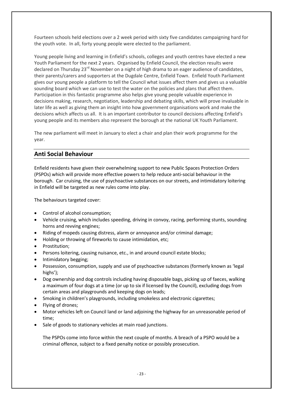Fourteen schools held elections over a 2 week period with sixty five candidates campaigning hard for the youth vote. In all, forty young people were elected to the parliament.

Young people living and learning in Enfield's schools, colleges and youth centres have elected a new Youth Parliament for the next 2 years. Organised by Enfield Council, the election results were declared on Thursday 23<sup>rd</sup> November on a night of high drama to an eager audience of candidates, their parents/carers and supporters at the Dugdale Centre, Enfield Town. Enfield Youth Parliament gives our young people a platform to tell the Council what issues affect them and gives us a valuable sounding board which we can use to test the water on the policies and plans that affect them. Participation in this fantastic programme also helps give young people valuable experience in decisions making, research, negotiation, leadership and debating skills, which will prove invaluable in later life as well as giving them an insight into how government organisations work and make the decisions which affects us all. It is an important contributor to council decisions affecting Enfield's young people and its members also represent the borough at the national UK Youth Parliament.

The new parliament will meet in January to elect a chair and plan their work programme for the year.

### **Anti Social Behaviour**

Enfield residents have given their overwhelming support to new Public Spaces Protection Orders (PSPOs) which will provide more effective powers to help reduce anti-social behaviour in the borough. Car cruising, the use of psychoactive substances on our streets, and intimidatory loitering in Enfield will be targeted as new rules come into play.

The behaviours targeted cover:

- Control of alcohol consumption;
- Vehicle cruising, which includes speeding, driving in convoy, racing, performing stunts, sounding horns and revving engines;
- Riding of mopeds causing distress, alarm or annoyance and/or criminal damage;
- Holding or throwing of fireworks to cause intimidation, etc;
- Prostitution;
- Persons loitering, causing nuisance, etc., in and around council estate blocks;
- Intimidatory begging;
- Possession, consumption, supply and use of psychoactive substances (formerly known as 'legal highs');
- Dog ownership and dog controls including having disposable bags, picking up of faeces, walking a maximum of four dogs at a time (or up to six if licensed by the Council), excluding dogs from certain areas and playgrounds and keeping dogs on leads;
- Smoking in children's playgrounds, including smokeless and electronic cigarettes;
- Flying of drones;
- Motor vehicles left on Council land or land adjoining the highway for an unreasonable period of time;
- Sale of goods to stationary vehicles at main road junctions.

The PSPOs come into force within the next couple of months. A breach of a PSPO would be a criminal offence, subject to a fixed penalty notice or possibly prosecution.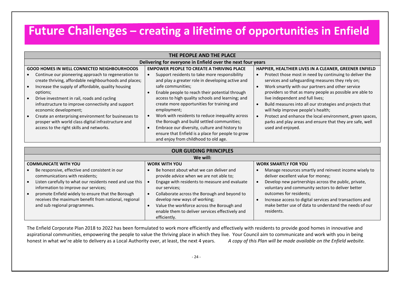## **Future Challenges – creating a lifetime of opportunities in Enfield**

| Delivering for everyone in Enfield over the next four years<br><b>EMPOWER PEOPLE TO CREATE A THRIVING PLACE</b><br>HAPPIER, HEALTHIER LIVES IN A CLEANER, GREENER ENFIELD<br><b>GOOD HOMES IN WELL CONNECTED NEIGHBOURHOODS</b><br>Continue our pioneering approach to regeneration to<br>Support residents to take more responsibility<br>Protect those most in need by continuing to deliver the<br>create thriving, affordable neighbourhoods and places;<br>and play a greater role in developing active and<br>services and safeguarding measures they rely on;<br>safe communities;<br>Increase the supply of affordable, quality housing<br>Work smartly with our partners and other service<br>providers so that as many people as possible are able to<br>Enable people to reach their potential through<br>options;<br>access to high quality schools and learning; and<br>live independent and full lives;<br>Drive investment in rail, roads and cycling<br>create more opportunities for training and<br>infrastructure to improve connectivity and support<br>Build measures into all our strategies and projects that<br>economic development;<br>employment;<br>will help improve people's health;<br>Work with residents to reduce inequality across<br>Protect and enhance the local environment, green spaces,<br>Create an enterprising environment for businesses to<br>the Borough and build settled communities;<br>parks and play areas and ensure that they are safe, well<br>prosper with world class digital infrastructure and<br>Embrace our diversity, culture and history to<br>access to the right skills and networks.<br>used and enjoyed.<br>ensure that Enfield is a place for people to grow<br>and enjoy from childhood to old age. | THE PEOPLE AND THE PLACE |  |  |  |  |  |  |
|---------------------------------------------------------------------------------------------------------------------------------------------------------------------------------------------------------------------------------------------------------------------------------------------------------------------------------------------------------------------------------------------------------------------------------------------------------------------------------------------------------------------------------------------------------------------------------------------------------------------------------------------------------------------------------------------------------------------------------------------------------------------------------------------------------------------------------------------------------------------------------------------------------------------------------------------------------------------------------------------------------------------------------------------------------------------------------------------------------------------------------------------------------------------------------------------------------------------------------------------------------------------------------------------------------------------------------------------------------------------------------------------------------------------------------------------------------------------------------------------------------------------------------------------------------------------------------------------------------------------------------------------------------------------------------------------------------------------------------------------------------------------------|--------------------------|--|--|--|--|--|--|
|                                                                                                                                                                                                                                                                                                                                                                                                                                                                                                                                                                                                                                                                                                                                                                                                                                                                                                                                                                                                                                                                                                                                                                                                                                                                                                                                                                                                                                                                                                                                                                                                                                                                                                                                                                           |                          |  |  |  |  |  |  |
|                                                                                                                                                                                                                                                                                                                                                                                                                                                                                                                                                                                                                                                                                                                                                                                                                                                                                                                                                                                                                                                                                                                                                                                                                                                                                                                                                                                                                                                                                                                                                                                                                                                                                                                                                                           |                          |  |  |  |  |  |  |
|                                                                                                                                                                                                                                                                                                                                                                                                                                                                                                                                                                                                                                                                                                                                                                                                                                                                                                                                                                                                                                                                                                                                                                                                                                                                                                                                                                                                                                                                                                                                                                                                                                                                                                                                                                           |                          |  |  |  |  |  |  |
|                                                                                                                                                                                                                                                                                                                                                                                                                                                                                                                                                                                                                                                                                                                                                                                                                                                                                                                                                                                                                                                                                                                                                                                                                                                                                                                                                                                                                                                                                                                                                                                                                                                                                                                                                                           |                          |  |  |  |  |  |  |
| <b>OUR GUIDING PRINCIPLES</b><br>We will:                                                                                                                                                                                                                                                                                                                                                                                                                                                                                                                                                                                                                                                                                                                                                                                                                                                                                                                                                                                                                                                                                                                                                                                                                                                                                                                                                                                                                                                                                                                                                                                                                                                                                                                                 |                          |  |  |  |  |  |  |

| <b>COMMUNICATE WITH YOU</b>                                                                                                                                           | <b>WORK WITH YOU</b>                                                                                                                                                                          | <b>WORK SMARTLY FOR YOU</b>                                                                                                                                 |
|-----------------------------------------------------------------------------------------------------------------------------------------------------------------------|-----------------------------------------------------------------------------------------------------------------------------------------------------------------------------------------------|-------------------------------------------------------------------------------------------------------------------------------------------------------------|
| Be responsive, effective and consistent in our<br>communications with residents;                                                                                      | Be honest about what we can deliver and<br>provide advice when we are not able to;                                                                                                            | Manage resources smartly and reinvest income wisely to<br>deliver excellent value for money;                                                                |
| Listen carefully to what our residents need and use this<br>∣ ●<br>information to improve our services;                                                               | Engage with residents to measure and evaluate<br>our services;                                                                                                                                | Develop new partnerships across the public, private,<br>voluntary and community sectors to deliver better                                                   |
| promote Enfield widely to ensure that the Borough<br>$\overline{\phantom{a}}$<br>receives the maximum benefit from national, regional<br>and sub regional programmes. | Collaborate across the Borough and beyond to<br>develop new ways of working;<br>Value the workforce across the Borough and<br>enable them to deliver services effectively and<br>efficiently. | outcomes for residents;<br>Increase access to digital services and transactions and<br>make better use of data to understand the needs of our<br>residents. |

The Enfield Corporate Plan 2018 to 2022 has been formulated to work more efficiently and effectively with residents to provide good homes in innovative and aspirational communities, empowering the people to value the thriving place in which they live. Your Council aim to communicate and work with you in being honest in what we're able to delivery as a Local Authority over, at least, the next 4 years. *A copy of this Plan will be made available on the Enfield website.*